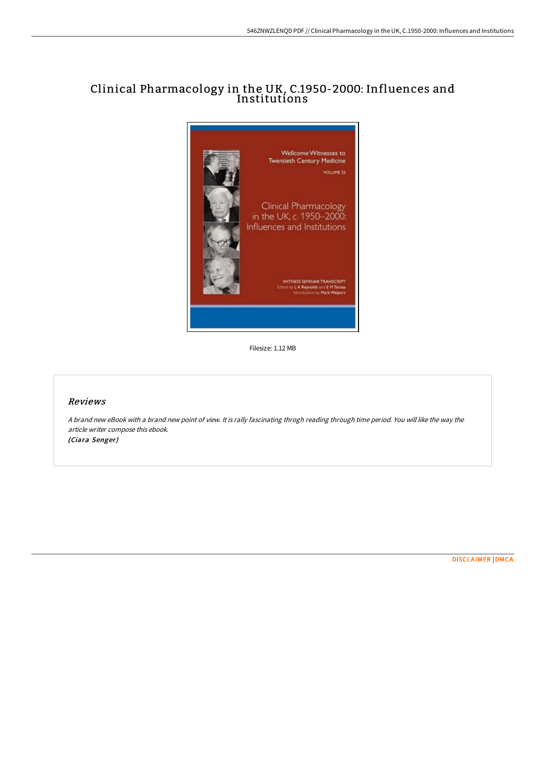## Clinical Pharmacology in the UK, C.1950-2000: Influences and Institutions



Filesize: 1.12 MB

## Reviews

<sup>A</sup> brand new eBook with <sup>a</sup> brand new point of view. It is rally fascinating throgh reading through time period. You will like the way the article writer compose this ebook. (Ciara Senger)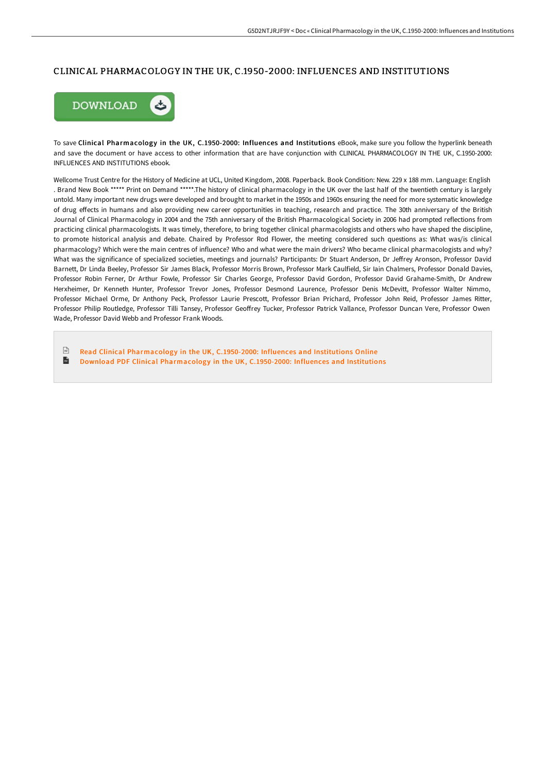## CLINICAL PHARMACOLOGY IN THE UK, C.1950-2000: INFLUENCES AND INSTITUTIONS



To save Clinical Pharmacology in the UK, C.1950-2000: Influences and Institutions eBook, make sure you follow the hyperlink beneath and save the document or have access to other information that are have conjunction with CLINICAL PHARMACOLOGY IN THE UK, C.1950-2000: INFLUENCES AND INSTITUTIONS ebook.

Wellcome Trust Centre for the History of Medicine at UCL, United Kingdom, 2008. Paperback. Book Condition: New. 229 x 188 mm. Language: English . Brand New Book \*\*\*\*\* Print on Demand \*\*\*\*\*.The history of clinical pharmacology in the UK over the last half of the twentieth century is largely untold. Many important new drugs were developed and brought to market in the 1950s and 1960s ensuring the need for more systematic knowledge of drug eFects in humans and also providing new career opportunities in teaching, research and practice. The 30th anniversary of the British Journal of Clinical Pharmacology in 2004 and the 75th anniversary of the British Pharmacological Society in 2006 had prompted reflections from practicing clinical pharmacologists. It was timely, therefore, to bring together clinical pharmacologists and others who have shaped the discipline, to promote historical analysis and debate. Chaired by Professor Rod Flower, the meeting considered such questions as: What was/is clinical pharmacology? Which were the main centres of influence? Who and what were the main drivers? Who became clinical pharmacologists and why? What was the significance of specialized societies, meetings and journals? Participants: Dr Stuart Anderson, Dr Jeffrey Aronson, Professor David Barnett, Dr Linda Beeley, Professor Sir James Black, Professor Morris Brown, Professor Mark Caulfield, Sir Iain Chalmers, Professor Donald Davies, Professor Robin Ferner, Dr Arthur Fowle, Professor Sir Charles George, Professor David Gordon, Professor David Grahame-Smith, Dr Andrew Herxheimer, Dr Kenneth Hunter, Professor Trevor Jones, Professor Desmond Laurence, Professor Denis McDevitt, Professor Walter Nimmo, Professor Michael Orme, Dr Anthony Peck, Professor Laurie Prescott, Professor Brian Prichard, Professor John Reid, Professor James Ritter, Professor Philip Routledge, Professor Tilli Tansey, Professor GeoFrey Tucker, Professor Patrick Vallance, Professor Duncan Vere, Professor Owen Wade, Professor David Webb and Professor Frank Woods.

 $\sqrt{\frac{1}{2}}$ Read Clinical [Pharmacology](http://albedo.media/clinical-pharmacology-in-the-uk-c-1950-2000-infl.html) in the UK, C.1950-2000: Influences and Institutions Online  $\mathbf{H}$ Download PDF Clinical [Pharmacology](http://albedo.media/clinical-pharmacology-in-the-uk-c-1950-2000-infl.html) in the UK, C.1950-2000: Influences and Institutions